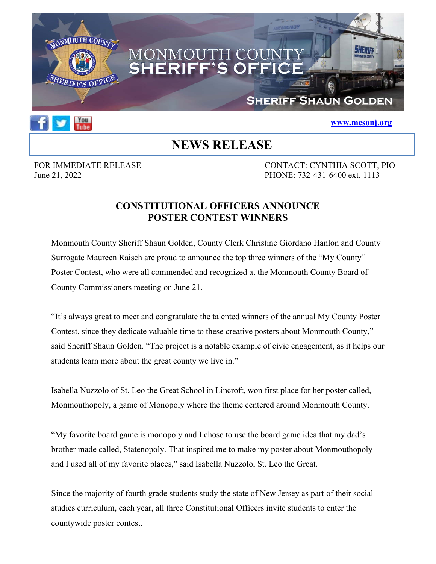



## **www.mcsonj.org**

## **NEWS RELEASE**

FOR IMMEDIATE RELEASE CONTACT: CYNTHIA SCOTT, PIO June 21, 2022 PHONE: 732-431-6400 ext. 1113

## **CONSTITUTIONAL OFFICERS ANNOUNCE POSTER CONTEST WINNERS**

Monmouth County Sheriff Shaun Golden, County Clerk Christine Giordano Hanlon and County Surrogate Maureen Raisch are proud to announce the top three winners of the "My County" Poster Contest, who were all commended and recognized at the Monmouth County Board of County Commissioners meeting on June 21.

"It's always great to meet and congratulate the talented winners of the annual My County Poster Contest, since they dedicate valuable time to these creative posters about Monmouth County," said Sheriff Shaun Golden. "The project is a notable example of civic engagement, as it helps our students learn more about the great county we live in."

Isabella Nuzzolo of St. Leo the Great School in Lincroft, won first place for her poster called, Monmouthopoly, a game of Monopoly where the theme centered around Monmouth County.

"My favorite board game is monopoly and I chose to use the board game idea that my dad's brother made called, Statenopoly. That inspired me to make my poster about Monmouthopoly and I used all of my favorite places," said Isabella Nuzzolo, St. Leo the Great.

Since the majority of fourth grade students study the state of New Jersey as part of their social studies curriculum, each year, all three Constitutional Officers invite students to enter the countywide poster contest.